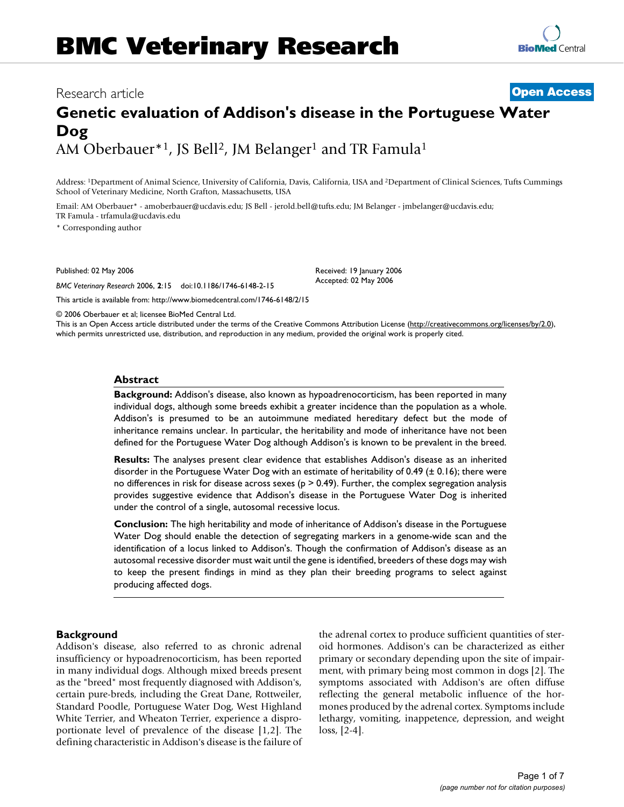# Research article **[Open Access](http://www.biomedcentral.com/info/about/charter/)**

# **[BioMed](http://www.biomedcentral.com/)** Central

# **Genetic evaluation of Addison's disease in the Portuguese Water Dog** AM Oberbauer\*1, JS Bell<sup>2</sup>, JM Belanger<sup>1</sup> and TR Famula<sup>1</sup>

Address: 1Department of Animal Science, University of California, Davis, California, USA and 2Department of Clinical Sciences, Tufts Cummings School of Veterinary Medicine, North Grafton, Massachusetts, USA

Email: AM Oberbauer\* - amoberbauer@ucdavis.edu; JS Bell - jerold.bell@tufts.edu; JM Belanger - jmbelanger@ucdavis.edu; TR Famula - trfamula@ucdavis.edu

\* Corresponding author

Published: 02 May 2006

*BMC Veterinary Research* 2006, **2**:15 doi:10.1186/1746-6148-2-15

[This article is available from: http://www.biomedcentral.com/1746-6148/2/15](http://www.biomedcentral.com/1746-6148/2/15)

Received: 19 January 2006 Accepted: 02 May 2006

© 2006 Oberbauer et al; licensee BioMed Central Ltd.

This is an Open Access article distributed under the terms of the Creative Commons Attribution License [\(http://creativecommons.org/licenses/by/2.0\)](http://creativecommons.org/licenses/by/2.0), which permits unrestricted use, distribution, and reproduction in any medium, provided the original work is properly cited.

### **Abstract**

**Background:** Addison's disease, also known as hypoadrenocorticism, has been reported in many individual dogs, although some breeds exhibit a greater incidence than the population as a whole. Addison's is presumed to be an autoimmune mediated hereditary defect but the mode of inheritance remains unclear. In particular, the heritability and mode of inheritance have not been defined for the Portuguese Water Dog although Addison's is known to be prevalent in the breed.

**Results:** The analyses present clear evidence that establishes Addison's disease as an inherited disorder in the Portuguese Water Dog with an estimate of heritability of 0.49 (± 0.16); there were no differences in risk for disease across sexes ( $p > 0.49$ ). Further, the complex segregation analysis provides suggestive evidence that Addison's disease in the Portuguese Water Dog is inherited under the control of a single, autosomal recessive locus.

**Conclusion:** The high heritability and mode of inheritance of Addison's disease in the Portuguese Water Dog should enable the detection of segregating markers in a genome-wide scan and the identification of a locus linked to Addison's. Though the confirmation of Addison's disease as an autosomal recessive disorder must wait until the gene is identified, breeders of these dogs may wish to keep the present findings in mind as they plan their breeding programs to select against producing affected dogs.

# **Background**

Addison's disease, also referred to as chronic adrenal insufficiency or hypoadrenocorticism, has been reported in many individual dogs. Although mixed breeds present as the "breed" most frequently diagnosed with Addison's, certain pure-breds, including the Great Dane, Rottweiler, Standard Poodle, Portuguese Water Dog, West Highland White Terrier, and Wheaton Terrier, experience a disproportionate level of prevalence of the disease [1,2]. The defining characteristic in Addison's disease is the failure of the adrenal cortex to produce sufficient quantities of steroid hormones. Addison's can be characterized as either primary or secondary depending upon the site of impairment, with primary being most common in dogs [2]. The symptoms associated with Addison's are often diffuse reflecting the general metabolic influence of the hormones produced by the adrenal cortex. Symptoms include lethargy, vomiting, inappetence, depression, and weight loss, [2-4].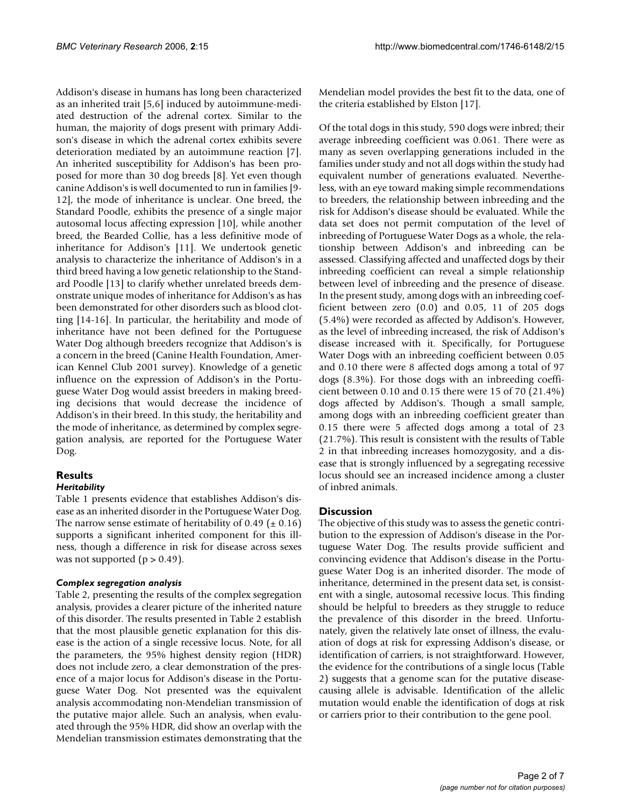Addison's disease in humans has long been characterized as an inherited trait [5,6] induced by autoimmune-mediated destruction of the adrenal cortex. Similar to the human, the majority of dogs present with primary Addison's disease in which the adrenal cortex exhibits severe deterioration mediated by an autoimmune reaction [7]. An inherited susceptibility for Addison's has been proposed for more than 30 dog breeds [8]. Yet even though canine Addison's is well documented to run in families [9- 12], the mode of inheritance is unclear. One breed, the Standard Poodle, exhibits the presence of a single major autosomal locus affecting expression [10], while another breed, the Bearded Collie, has a less definitive mode of inheritance for Addison's [11]. We undertook genetic analysis to characterize the inheritance of Addison's in a third breed having a low genetic relationship to the Standard Poodle [13] to clarify whether unrelated breeds demonstrate unique modes of inheritance for Addison's as has been demonstrated for other disorders such as blood clotting [14-16]. In particular, the heritability and mode of inheritance have not been defined for the Portuguese Water Dog although breeders recognize that Addison's is a concern in the breed (Canine Health Foundation, American Kennel Club 2001 survey). Knowledge of a genetic influence on the expression of Addison's in the Portuguese Water Dog would assist breeders in making breeding decisions that would decrease the incidence of Addison's in their breed. In this study, the heritability and the mode of inheritance, as determined by complex segregation analysis, are reported for the Portuguese Water Dog.

# **Results**

# *Heritability*

Table 1 presents evidence that establishes Addison's disease as an inherited disorder in the Portuguese Water Dog. The narrow sense estimate of heritability of 0.49 ( $\pm$  0.16) supports a significant inherited component for this illness, though a difference in risk for disease across sexes was not supported  $(p > 0.49)$ .

# *Complex segregation analysis*

Table 2, presenting the results of the complex segregation analysis, provides a clearer picture of the inherited nature of this disorder. The results presented in Table 2 establish that the most plausible genetic explanation for this disease is the action of a single recessive locus. Note, for all the parameters, the 95% highest density region (HDR) does not include zero, a clear demonstration of the presence of a major locus for Addison's disease in the Portuguese Water Dog. Not presented was the equivalent analysis accommodating non-Mendelian transmission of the putative major allele. Such an analysis, when evaluated through the 95% HDR, did show an overlap with the Mendelian transmission estimates demonstrating that the Mendelian model provides the best fit to the data, one of the criteria established by Elston [17].

Of the total dogs in this study, 590 dogs were inbred; their average inbreeding coefficient was 0.061. There were as many as seven overlapping generations included in the families under study and not all dogs within the study had equivalent number of generations evaluated. Nevertheless, with an eye toward making simple recommendations to breeders, the relationship between inbreeding and the risk for Addison's disease should be evaluated. While the data set does not permit computation of the level of inbreeding of Portuguese Water Dogs as a whole, the relationship between Addison's and inbreeding can be assessed. Classifying affected and unaffected dogs by their inbreeding coefficient can reveal a simple relationship between level of inbreeding and the presence of disease. In the present study, among dogs with an inbreeding coefficient between zero (0.0) and 0.05, 11 of 205 dogs (5.4%) were recorded as affected by Addison's. However, as the level of inbreeding increased, the risk of Addison's disease increased with it. Specifically, for Portuguese Water Dogs with an inbreeding coefficient between 0.05 and 0.10 there were 8 affected dogs among a total of 97 dogs (8.3%). For those dogs with an inbreeding coefficient between 0.10 and 0.15 there were 15 of 70 (21.4%) dogs affected by Addison's. Though a small sample, among dogs with an inbreeding coefficient greater than 0.15 there were 5 affected dogs among a total of 23 (21.7%). This result is consistent with the results of Table 2 in that inbreeding increases homozygosity, and a disease that is strongly influenced by a segregating recessive locus should see an increased incidence among a cluster of inbred animals.

# **Discussion**

The objective of this study was to assess the genetic contribution to the expression of Addison's disease in the Portuguese Water Dog. The results provide sufficient and convincing evidence that Addison's disease in the Portuguese Water Dog is an inherited disorder. The mode of inheritance, determined in the present data set, is consistent with a single, autosomal recessive locus. This finding should be helpful to breeders as they struggle to reduce the prevalence of this disorder in the breed. Unfortunately, given the relatively late onset of illness, the evaluation of dogs at risk for expressing Addison's disease, or identification of carriers, is not straightforward. However, the evidence for the contributions of a single locus (Table 2) suggests that a genome scan for the putative diseasecausing allele is advisable. Identification of the allelic mutation would enable the identification of dogs at risk or carriers prior to their contribution to the gene pool.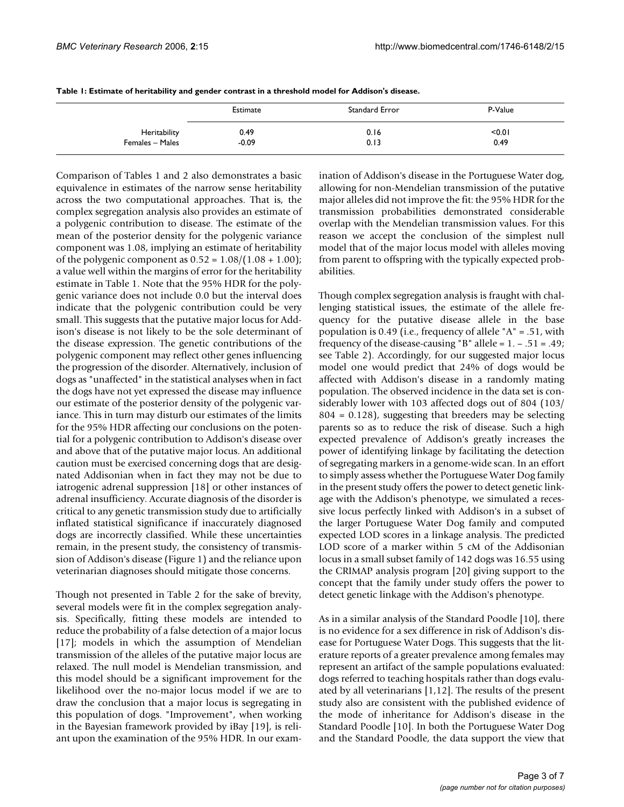|                 | Estimate | Standard Error | P-Value |
|-----------------|----------|----------------|---------|
| Heritability    | 0.49     | 0.16           | < 0.01  |
| Females - Males | $-0.09$  | 0.13           | 0.49    |

| Table 1: Estimate of heritability and gender contrast in a threshold model for Addison's disease. |  |  |
|---------------------------------------------------------------------------------------------------|--|--|
|---------------------------------------------------------------------------------------------------|--|--|

Comparison of Tables 1 and 2 also demonstrates a basic equivalence in estimates of the narrow sense heritability across the two computational approaches. That is, the complex segregation analysis also provides an estimate of a polygenic contribution to disease. The estimate of the mean of the posterior density for the polygenic variance component was 1.08, implying an estimate of heritability of the polygenic component as  $0.52 = 1.08/(1.08 + 1.00)$ ; a value well within the margins of error for the heritability estimate in Table 1. Note that the 95% HDR for the polygenic variance does not include 0.0 but the interval does indicate that the polygenic contribution could be very small. This suggests that the putative major locus for Addison's disease is not likely to be the sole determinant of the disease expression. The genetic contributions of the polygenic component may reflect other genes influencing the progression of the disorder. Alternatively, inclusion of dogs as "unaffected" in the statistical analyses when in fact the dogs have not yet expressed the disease may influence our estimate of the posterior density of the polygenic variance. This in turn may disturb our estimates of the limits for the 95% HDR affecting our conclusions on the potential for a polygenic contribution to Addison's disease over and above that of the putative major locus. An additional caution must be exercised concerning dogs that are designated Addisonian when in fact they may not be due to iatrogenic adrenal suppression [18] or other instances of adrenal insufficiency. Accurate diagnosis of the disorder is critical to any genetic transmission study due to artificially inflated statistical significance if inaccurately diagnosed dogs are incorrectly classified. While these uncertainties remain, in the present study, the consistency of transmission of Addison's disease (Figure 1) and the reliance upon veterinarian diagnoses should mitigate those concerns.

Though not presented in Table 2 for the sake of brevity, several models were fit in the complex segregation analysis. Specifically, fitting these models are intended to reduce the probability of a false detection of a major locus [17]; models in which the assumption of Mendelian transmission of the alleles of the putative major locus are relaxed. The null model is Mendelian transmission, and this model should be a significant improvement for the likelihood over the no-major locus model if we are to draw the conclusion that a major locus is segregating in this population of dogs. "Improvement", when working in the Bayesian framework provided by iBay [19], is reliant upon the examination of the 95% HDR. In our examination of Addison's disease in the Portuguese Water dog, allowing for non-Mendelian transmission of the putative major alleles did not improve the fit: the 95% HDR for the transmission probabilities demonstrated considerable overlap with the Mendelian transmission values. For this reason we accept the conclusion of the simplest null model that of the major locus model with alleles moving from parent to offspring with the typically expected probabilities.

Though complex segregation analysis is fraught with challenging statistical issues, the estimate of the allele frequency for the putative disease allele in the base population is 0.49 (i.e., frequency of allele "A" = .51, with frequency of the disease-causing "B" allele =  $1. - .51 = .49$ ; see Table 2). Accordingly, for our suggested major locus model one would predict that 24% of dogs would be affected with Addison's disease in a randomly mating population. The observed incidence in the data set is considerably lower with 103 affected dogs out of 804 (103/ 804 = 0.128), suggesting that breeders may be selecting parents so as to reduce the risk of disease. Such a high expected prevalence of Addison's greatly increases the power of identifying linkage by facilitating the detection of segregating markers in a genome-wide scan. In an effort to simply assess whether the Portuguese Water Dog family in the present study offers the power to detect genetic linkage with the Addison's phenotype, we simulated a recessive locus perfectly linked with Addison's in a subset of the larger Portuguese Water Dog family and computed expected LOD scores in a linkage analysis. The predicted LOD score of a marker within 5 cM of the Addisonian locus in a small subset family of 142 dogs was 16.55 using the CRIMAP analysis program [20] giving support to the concept that the family under study offers the power to detect genetic linkage with the Addison's phenotype.

As in a similar analysis of the Standard Poodle [10], there is no evidence for a sex difference in risk of Addison's disease for Portuguese Water Dogs. This suggests that the literature reports of a greater prevalence among females may represent an artifact of the sample populations evaluated: dogs referred to teaching hospitals rather than dogs evaluated by all veterinarians [1,12]. The results of the present study also are consistent with the published evidence of the mode of inheritance for Addison's disease in the Standard Poodle [10]. In both the Portuguese Water Dog and the Standard Poodle, the data support the view that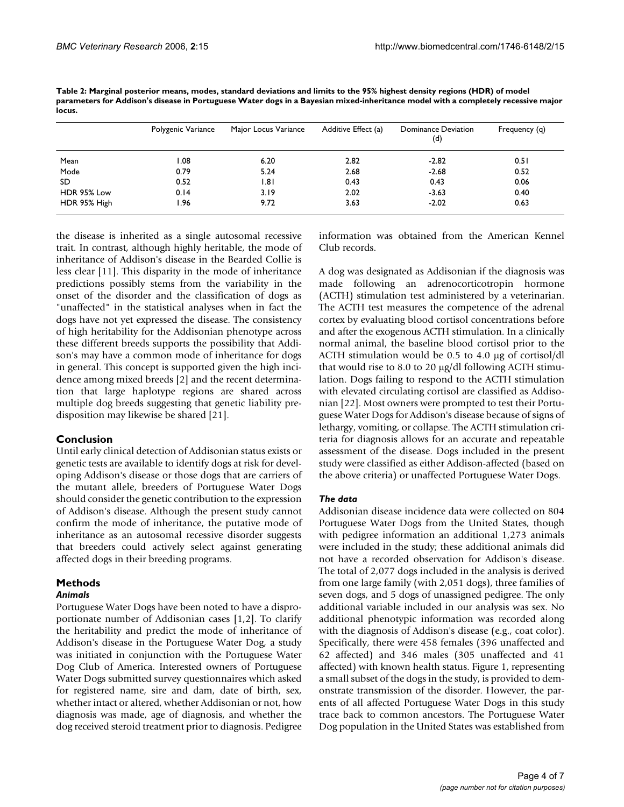|              | Polygenic Variance | Major Locus Variance | Additive Effect (a) | Dominance Deviation<br>(d) | Frequency (q) |
|--------------|--------------------|----------------------|---------------------|----------------------------|---------------|
| Mean         | 1.08               | 6.20                 | 2.82                | $-2.82$                    | 0.51          |
| Mode         | 0.79               | 5.24                 | 2.68                | $-2.68$                    | 0.52          |
| SD           | 0.52               | 1.81                 | 0.43                | 0.43                       | 0.06          |
| HDR 95% Low  | 0.14               | 3.19                 | 2.02                | $-3.63$                    | 0.40          |
| HDR 95% High | I.96               | 9.72                 | 3.63                | $-2.02$                    | 0.63          |

**Table 2: Marginal posterior means, modes, standard deviations and limits to the 95% highest density regions (HDR) of model parameters for Addison's disease in Portuguese Water dogs in a Bayesian mixed-inheritance model with a completely recessive major locus.**

the disease is inherited as a single autosomal recessive trait. In contrast, although highly heritable, the mode of inheritance of Addison's disease in the Bearded Collie is less clear [11]. This disparity in the mode of inheritance predictions possibly stems from the variability in the onset of the disorder and the classification of dogs as "unaffected" in the statistical analyses when in fact the dogs have not yet expressed the disease. The consistency of high heritability for the Addisonian phenotype across these different breeds supports the possibility that Addison's may have a common mode of inheritance for dogs in general. This concept is supported given the high incidence among mixed breeds [2] and the recent determination that large haplotype regions are shared across multiple dog breeds suggesting that genetic liability predisposition may likewise be shared [21].

# **Conclusion**

Until early clinical detection of Addisonian status exists or genetic tests are available to identify dogs at risk for developing Addison's disease or those dogs that are carriers of the mutant allele, breeders of Portuguese Water Dogs should consider the genetic contribution to the expression of Addison's disease. Although the present study cannot confirm the mode of inheritance, the putative mode of inheritance as an autosomal recessive disorder suggests that breeders could actively select against generating affected dogs in their breeding programs.

# **Methods**

# *Animals*

Portuguese Water Dogs have been noted to have a disproportionate number of Addisonian cases [1,2]. To clarify the heritability and predict the mode of inheritance of Addison's disease in the Portuguese Water Dog, a study was initiated in conjunction with the Portuguese Water Dog Club of America. Interested owners of Portuguese Water Dogs submitted survey questionnaires which asked for registered name, sire and dam, date of birth, sex, whether intact or altered, whether Addisonian or not, how diagnosis was made, age of diagnosis, and whether the dog received steroid treatment prior to diagnosis. Pedigree information was obtained from the American Kennel Club records.

A dog was designated as Addisonian if the diagnosis was made following an adrenocorticotropin hormone (ACTH) stimulation test administered by a veterinarian. The ACTH test measures the competence of the adrenal cortex by evaluating blood cortisol concentrations before and after the exogenous ACTH stimulation. In a clinically normal animal, the baseline blood cortisol prior to the ACTH stimulation would be 0.5 to 4.0 µg of cortisol/dl that would rise to 8.0 to 20 µg/dl following ACTH stimulation. Dogs failing to respond to the ACTH stimulation with elevated circulating cortisol are classified as Addisonian [22]. Most owners were prompted to test their Portuguese Water Dogs for Addison's disease because of signs of lethargy, vomiting, or collapse. The ACTH stimulation criteria for diagnosis allows for an accurate and repeatable assessment of the disease. Dogs included in the present study were classified as either Addison-affected (based on the above criteria) or unaffected Portuguese Water Dogs.

# *The data*

Addisonian disease incidence data were collected on 804 Portuguese Water Dogs from the United States, though with pedigree information an additional 1,273 animals were included in the study; these additional animals did not have a recorded observation for Addison's disease. The total of 2,077 dogs included in the analysis is derived from one large family (with 2,051 dogs), three families of seven dogs, and 5 dogs of unassigned pedigree. The only additional variable included in our analysis was sex. No additional phenotypic information was recorded along with the diagnosis of Addison's disease (e.g., coat color). Specifically, there were 458 females (396 unaffected and 62 affected) and 346 males (305 unaffected and 41 affected) with known health status. Figure 1, representing a small subset of the dogs in the study, is provided to demonstrate transmission of the disorder. However, the parents of all affected Portuguese Water Dogs in this study trace back to common ancestors. The Portuguese Water Dog population in the United States was established from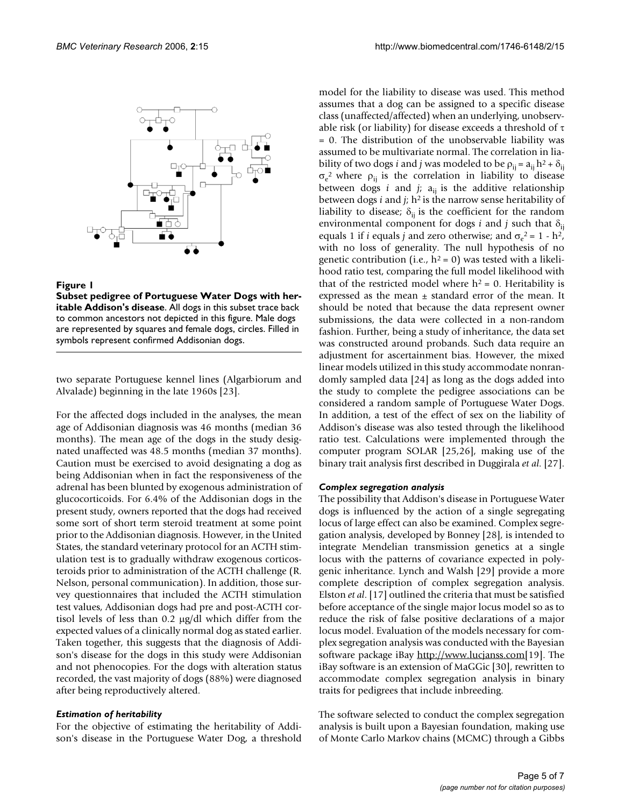

# Figure 1

**Subset pedigree of Portuguese Water Dogs with heritable Addison's disease**. All dogs in this subset trace back to common ancestors not depicted in this figure. Male dogs are represented by squares and female dogs, circles. Filled in symbols represent confirmed Addisonian dogs.

two separate Portuguese kennel lines (Algarbiorum and Alvalade) beginning in the late 1960s [23].

For the affected dogs included in the analyses, the mean age of Addisonian diagnosis was 46 months (median 36 months). The mean age of the dogs in the study designated unaffected was 48.5 months (median 37 months). Caution must be exercised to avoid designating a dog as being Addisonian when in fact the responsiveness of the adrenal has been blunted by exogenous administration of glucocorticoids. For 6.4% of the Addisonian dogs in the present study, owners reported that the dogs had received some sort of short term steroid treatment at some point prior to the Addisonian diagnosis. However, in the United States, the standard veterinary protocol for an ACTH stimulation test is to gradually withdraw exogenous corticosteroids prior to administration of the ACTH challenge (R. Nelson, personal communication). In addition, those survey questionnaires that included the ACTH stimulation test values, Addisonian dogs had pre and post-ACTH cortisol levels of less than 0.2 µg/dl which differ from the expected values of a clinically normal dog as stated earlier. Taken together, this suggests that the diagnosis of Addison's disease for the dogs in this study were Addisonian and not phenocopies. For the dogs with alteration status recorded, the vast majority of dogs (88%) were diagnosed after being reproductively altered.

# *Estimation of heritability*

For the objective of estimating the heritability of Addison's disease in the Portuguese Water Dog, a threshold model for the liability to disease was used. This method assumes that a dog can be assigned to a specific disease class (unaffected/affected) when an underlying, unobservable risk (or liability) for disease exceeds a threshold of  $\tau$ = 0. The distribution of the unobservable liability was assumed to be multivariate normal. The correlation in liability of two dogs *i* and *j* was modeled to be  $\rho_{ii} = a_{ii} h^2 + \delta_{ii}$  $\sigma_e^2$  where  $\rho_{ij}$  is the correlation in liability to disease between dogs *i* and *j*;  $a_{ij}$  is the additive relationship between dogs *i* and *j*; h2 is the narrow sense heritability of liability to disease;  $\delta_{ij}$  is the coefficient for the random environmental component for dogs *i* and *j* such that  $\delta_{ij}$ equals 1 if *i* equals *j* and zero otherwise; and  $\sigma_e^2 = 1 - h^2$ , with no loss of generality. The null hypothesis of no genetic contribution (i.e.,  $h^2 = 0$ ) was tested with a likelihood ratio test, comparing the full model likelihood with that of the restricted model where  $h^2 = 0$ . Heritability is expressed as the mean  $\pm$  standard error of the mean. It should be noted that because the data represent owner submissions, the data were collected in a non-random fashion. Further, being a study of inheritance, the data set was constructed around probands. Such data require an adjustment for ascertainment bias. However, the mixed linear models utilized in this study accommodate nonrandomly sampled data [24] as long as the dogs added into the study to complete the pedigree associations can be considered a random sample of Portuguese Water Dogs. In addition, a test of the effect of sex on the liability of Addison's disease was also tested through the likelihood ratio test. Calculations were implemented through the computer program SOLAR [25,26], making use of the binary trait analysis first described in Duggirala *et al*. [27].

### *Complex segregation analysis*

The possibility that Addison's disease in Portuguese Water dogs is influenced by the action of a single segregating locus of large effect can also be examined. Complex segregation analysis, developed by Bonney [28], is intended to integrate Mendelian transmission genetics at a single locus with the patterns of covariance expected in polygenic inheritance. Lynch and Walsh [29] provide a more complete description of complex segregation analysis. Elston *et al*. [17] outlined the criteria that must be satisfied before acceptance of the single major locus model so as to reduce the risk of false positive declarations of a major locus model. Evaluation of the models necessary for complex segregation analysis was conducted with the Bayesian software package iBay <http://www.lucjanss.com>[19]. The iBay software is an extension of MaGGic [30], rewritten to accommodate complex segregation analysis in binary traits for pedigrees that include inbreeding.

The software selected to conduct the complex segregation analysis is built upon a Bayesian foundation, making use of Monte Carlo Markov chains (MCMC) through a Gibbs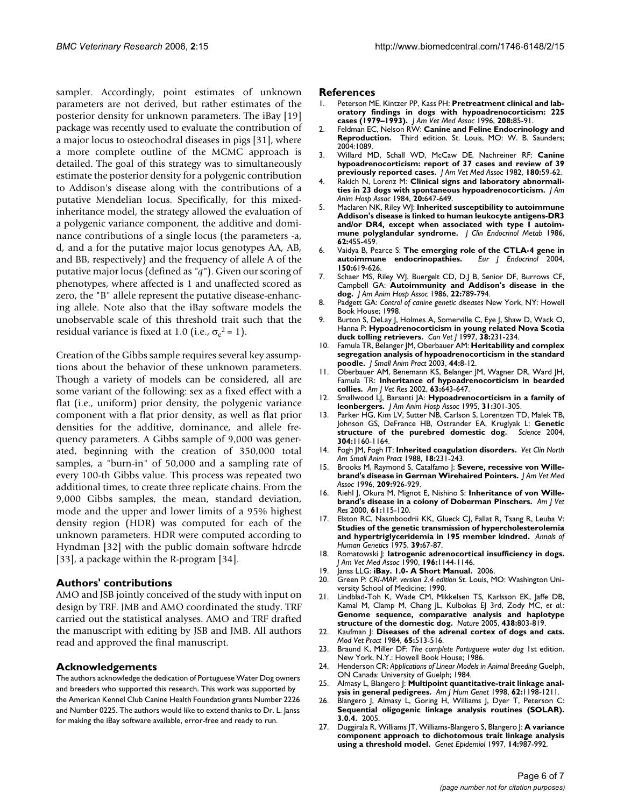sampler. Accordingly, point estimates of unknown parameters are not derived, but rather estimates of the posterior density for unknown parameters. The iBay [19] package was recently used to evaluate the contribution of a major locus to osteochodral diseases in pigs [31], where a more complete outline of the MCMC approach is detailed. The goal of this strategy was to simultaneously estimate the posterior density for a polygenic contribution to Addison's disease along with the contributions of a putative Mendelian locus. Specifically, for this mixedinheritance model, the strategy allowed the evaluation of a polygenic variance component, the additive and dominance contributions of a single locus (the parameters -a, d, and a for the putative major locus genotypes AA, AB, and BB, respectively) and the frequency of allele A of the putative major locus (defined as *"q"*). Given our scoring of phenotypes, where affected is 1 and unaffected scored as zero, the "B" allele represent the putative disease-enhancing allele. Note also that the iBay software models the unobservable scale of this threshold trait such that the residual variance is fixed at 1.0 (i.e.,  $\sigma_e^2 = 1$ ).

Creation of the Gibbs sample requires several key assumptions about the behavior of these unknown parameters. Though a variety of models can be considered, all are some variant of the following: sex as a fixed effect with a flat (i.e., uniform) prior density, the polygenic variance component with a flat prior density, as well as flat prior densities for the additive, dominance, and allele frequency parameters. A Gibbs sample of 9,000 was generated, beginning with the creation of 350,000 total samples, a "burn-in" of 50,000 and a sampling rate of every 100-th Gibbs value. This process was repeated two additional times, to create three replicate chains. From the 9,000 Gibbs samples, the mean, standard deviation, mode and the upper and lower limits of a 95% highest density region (HDR) was computed for each of the unknown parameters. HDR were computed according to Hyndman [32] with the public domain software hdrcde [33], a package within the R-program [34].

#### **Authors' contributions**

AMO and JSB jointly conceived of the study with input on design by TRF. JMB and AMO coordinated the study. TRF carried out the statistical analyses. AMO and TRF drafted the manuscript with editing by JSB and JMB. All authors read and approved the final manuscript.

# **Acknowledgements**

The authors acknowledge the dedication of Portuguese Water Dog owners and breeders who supported this research. This work was supported by the American Kennel Club Canine Health Foundation grants Number 2226 and Number 0225. The authors would like to extend thanks to Dr. L. Janss for making the iBay software available, error-free and ready to run.

#### **References**

- 1. Peterson ME, Kintzer PP, Kass PH: **[Pretreatment clinical and lab](http://www.ncbi.nlm.nih.gov/entrez/query.fcgi?cmd=Retrieve&db=PubMed&dopt=Abstract&list_uids=8682712)[oratory findings in dogs with hypoadrenocorticism: 225](http://www.ncbi.nlm.nih.gov/entrez/query.fcgi?cmd=Retrieve&db=PubMed&dopt=Abstract&list_uids=8682712) [cases \(1979–1993\).](http://www.ncbi.nlm.nih.gov/entrez/query.fcgi?cmd=Retrieve&db=PubMed&dopt=Abstract&list_uids=8682712)** *J Am Vet Med Assoc* 1996, **208:**85-91.
- 2. Feldman EC, Nelson RW: **[Canine and Feline Endocrinology and](http://www.ncbi.nlm.nih.gov/entrez/query.fcgi?cmd=Retrieve&db=PubMed&dopt=Abstract&list_uids=15322412) [Reproduction.](http://www.ncbi.nlm.nih.gov/entrez/query.fcgi?cmd=Retrieve&db=PubMed&dopt=Abstract&list_uids=15322412)** Third edition. St. Louis, MO: W. B. Saunders; 2004:1089.
- 3. Willard MD, Schall WD, McCaw DE, Nachreiner RF: **[Canine](http://www.ncbi.nlm.nih.gov/entrez/query.fcgi?cmd=Retrieve&db=PubMed&dopt=Abstract&list_uids=7035423) [hypoadrenocorticism: report of 37 cases and review of 39](http://www.ncbi.nlm.nih.gov/entrez/query.fcgi?cmd=Retrieve&db=PubMed&dopt=Abstract&list_uids=7035423) [previously reported cases.](http://www.ncbi.nlm.nih.gov/entrez/query.fcgi?cmd=Retrieve&db=PubMed&dopt=Abstract&list_uids=7035423)** *J Am Vet Med Assoc* 1982, **180:**59-62.
- 4. Rakich N, Lorenz M: **Clinical signs and laboratory abnormalities in 23 dogs with spontaneous hypoadrenocorticism.** *J Am Anim Hosp Assoc* 1984, **20:**647-649.
- 5. Maclaren NK, Riley WJ: **[Inherited susceptibility to autoimmune](http://www.ncbi.nlm.nih.gov/entrez/query.fcgi?cmd=Retrieve&db=PubMed&dopt=Abstract&list_uids=3484749) Addison's disease is linked to human leukocyte antigens-DR3 [and/or DR4, except when associated with type I autoim](http://www.ncbi.nlm.nih.gov/entrez/query.fcgi?cmd=Retrieve&db=PubMed&dopt=Abstract&list_uids=3484749)[mune polyglandular syndrome.](http://www.ncbi.nlm.nih.gov/entrez/query.fcgi?cmd=Retrieve&db=PubMed&dopt=Abstract&list_uids=3484749)** *J Clin Endocrinol Metab* 1986, **62:**455-459.
- 6. Vaidya B, Pearce S: **[The emerging role of the CTLA-4 gene in](http://www.ncbi.nlm.nih.gov/entrez/query.fcgi?cmd=Retrieve&db=PubMed&dopt=Abstract&list_uids=15132716) [autoimmune endocrinopathies.](http://www.ncbi.nlm.nih.gov/entrez/query.fcgi?cmd=Retrieve&db=PubMed&dopt=Abstract&list_uids=15132716)** *Eur J Endocrinol* 2004, **150:**619-626.
- 7. Schaer MS, Riley WJ, Buergelt CD, D.J B, Senior DF, Burrows CF, Campbell GA: **Autoimmunity and Addison's disease in the dog.** *J Am Anim Hosp Assoc* 1986, **22:**789-794.
- 8. Padgett GA: *Control of canine genetic diseases* New York, NY: Howell Book House; 1998.
- 9. Burton S, DeLay J, Holmes A, Somerville C, Eye J, Shaw D, Wack O, Hanna P: **[Hypoadrenocorticism in young related Nova Scotia](http://www.ncbi.nlm.nih.gov/entrez/query.fcgi?cmd=Retrieve&db=PubMed&dopt=Abstract&list_uids=9105722) [duck tolling retrievers.](http://www.ncbi.nlm.nih.gov/entrez/query.fcgi?cmd=Retrieve&db=PubMed&dopt=Abstract&list_uids=9105722)** *Can Vet J* 1997, **38:**231-234.
- 10. Famula TR, Belanger JM, Oberbauer AM: **[Heritability and complex](http://www.ncbi.nlm.nih.gov/entrez/query.fcgi?cmd=Retrieve&db=PubMed&dopt=Abstract&list_uids=12570345) [segregation analysis of hypoadrenocorticism in the standard](http://www.ncbi.nlm.nih.gov/entrez/query.fcgi?cmd=Retrieve&db=PubMed&dopt=Abstract&list_uids=12570345) [poodle.](http://www.ncbi.nlm.nih.gov/entrez/query.fcgi?cmd=Retrieve&db=PubMed&dopt=Abstract&list_uids=12570345)** *J Small Anim Pract* 2003, **44:**8-12.
- 11. Oberbauer AM, Benemann KS, Belanger JM, Wagner DR, Ward JH, Famula TR: **[Inheritance of hypoadrenocorticism in bearded](http://www.ncbi.nlm.nih.gov/entrez/query.fcgi?cmd=Retrieve&db=PubMed&dopt=Abstract&list_uids=12013462) [collies.](http://www.ncbi.nlm.nih.gov/entrez/query.fcgi?cmd=Retrieve&db=PubMed&dopt=Abstract&list_uids=12013462)** *Am J Vet Res* 2002, **63:**643-647.
- 12. Smallwood LJ, Barsanti JA: **[Hypoadrenocorticism in a family of](http://www.ncbi.nlm.nih.gov/entrez/query.fcgi?cmd=Retrieve&db=PubMed&dopt=Abstract&list_uids=7552661) [leonbergers.](http://www.ncbi.nlm.nih.gov/entrez/query.fcgi?cmd=Retrieve&db=PubMed&dopt=Abstract&list_uids=7552661)** *J Am Anim Hosp Assoc* 1995, **31:**301-305.
- 13. Parker HG, Kim LV, Sutter NB, Carlson S, Lorentzen TD, Malek TB, Johnson GS, DeFrance HB, Ostrander EA, Kruglyak L: **[Genetic](http://www.ncbi.nlm.nih.gov/entrez/query.fcgi?cmd=Retrieve&db=PubMed&dopt=Abstract&list_uids=15155949) [structure of the purebred domestic dog.](http://www.ncbi.nlm.nih.gov/entrez/query.fcgi?cmd=Retrieve&db=PubMed&dopt=Abstract&list_uids=15155949)** *Science* 2004, **304:**1160-1164.
- 14. Fogh JM, Fogh IT: **[Inherited coagulation disorders.](http://www.ncbi.nlm.nih.gov/entrez/query.fcgi?cmd=Retrieve&db=PubMed&dopt=Abstract&list_uids=3282382)** *Vet Clin North Am Small Anim Pract* 1988, **18:**231-243.
- 15. Brooks M, Raymond S, Catalfamo J: **[Severe, recessive von Wille](http://www.ncbi.nlm.nih.gov/entrez/query.fcgi?cmd=Retrieve&db=PubMed&dopt=Abstract&list_uids=8790542)[brand's disease in German Wirehaired Pointers.](http://www.ncbi.nlm.nih.gov/entrez/query.fcgi?cmd=Retrieve&db=PubMed&dopt=Abstract&list_uids=8790542)** *J Am Vet Med Assoc* 1996, **209:**926-929.
- 16. Riehl J, Okura M, Mignot E, Nishino S: **[Inheritance of von Wille](http://www.ncbi.nlm.nih.gov/entrez/query.fcgi?cmd=Retrieve&db=PubMed&dopt=Abstract&list_uids=10685679)[brand's disease in a colony of Doberman Pinschers.](http://www.ncbi.nlm.nih.gov/entrez/query.fcgi?cmd=Retrieve&db=PubMed&dopt=Abstract&list_uids=10685679)** *Am J Vet Res* 2000, **61:**115-120.
- 17. Elston RC, Nasmboodrii KK, Glueck CJ, Fallat R, Tsang R, Leuba V: **[Studies of the genetic transmission of hypercholesterolemia](http://www.ncbi.nlm.nih.gov/entrez/query.fcgi?cmd=Retrieve&db=PubMed&dopt=Abstract&list_uids=1180488) [and hypertriglyceridemia in 195 member kindred.](http://www.ncbi.nlm.nih.gov/entrez/query.fcgi?cmd=Retrieve&db=PubMed&dopt=Abstract&list_uids=1180488)** *Annals of Human Genetics* 1975, **39:**67-87.
- 18. Romatowski J: **[Iatrogenic adrenocortical insufficiency in dogs.](http://www.ncbi.nlm.nih.gov/entrez/query.fcgi?cmd=Retrieve&db=PubMed&dopt=Abstract&list_uids=2158495)** *J Am Vet Med Assoc* 1990, **196:**1144-1146.
- 19. Janss LLG: **iBay. 1.0- A Short Manual.** 2006.
- 20. Green P: *CRI-MAP. version 2.4 edition* St. Louis, MO: Washington University School of Medicine; 1990.
- 21. Lindblad-Toh K, Wade CM, Mikkelsen TS, Karlsson EK, Jaffe DB, Kamal M, Clamp M, Chang JL, Kulbokas EJ 3rd, Zody MC, *et al.*: **[Genome sequence, comparative analysis and haplotype](http://www.ncbi.nlm.nih.gov/entrez/query.fcgi?cmd=Retrieve&db=PubMed&dopt=Abstract&list_uids=16341006) [structure of the domestic dog.](http://www.ncbi.nlm.nih.gov/entrez/query.fcgi?cmd=Retrieve&db=PubMed&dopt=Abstract&list_uids=16341006)** *Nature* 2005, **438:**803-819.
- 22. Kaufman J: **[Diseases of the adrenal cortex of dogs and cats.](http://www.ncbi.nlm.nih.gov/entrez/query.fcgi?cmd=Retrieve&db=PubMed&dopt=Abstract&list_uids=6749117)** *Mod Vet Pract* 1984, **65:**513-516.
- 23. Braund K, Miller DF: *The complete Portuguese water dog* 1st edition. New York, N.Y.: Howell Book House; 1986.
- 24. Henderson CR: *Applications of Linear Models in Animal Breeding* Guelph, ON Canada: University of Guelph; 1984.
- 25. Almasy L, Blangero J: **[Multipoint quantitative-trait linkage anal](http://www.ncbi.nlm.nih.gov/entrez/query.fcgi?cmd=Retrieve&db=PubMed&dopt=Abstract&list_uids=9545414)[ysis in general pedigrees.](http://www.ncbi.nlm.nih.gov/entrez/query.fcgi?cmd=Retrieve&db=PubMed&dopt=Abstract&list_uids=9545414)** *Am J Hum Genet* 1998, **62:**1198-1211.
- 26. Blangero J, Almasy L, Goring H, Williams J, Dyer T, Peterson C: **Sequential oligogenic linkage analysis routines (SOLAR). 3.0.4.** 2005.
- 27. Duggirala R, Williams JT, Williams-Blangero S, Blangero J: **[A variance](http://www.ncbi.nlm.nih.gov/entrez/query.fcgi?cmd=Retrieve&db=PubMed&dopt=Abstract&list_uids=9433612) [component approach to dichotomous trait linkage analysis](http://www.ncbi.nlm.nih.gov/entrez/query.fcgi?cmd=Retrieve&db=PubMed&dopt=Abstract&list_uids=9433612) [using a threshold model.](http://www.ncbi.nlm.nih.gov/entrez/query.fcgi?cmd=Retrieve&db=PubMed&dopt=Abstract&list_uids=9433612)** *Genet Epidemiol* 1997, **14:**987-992.